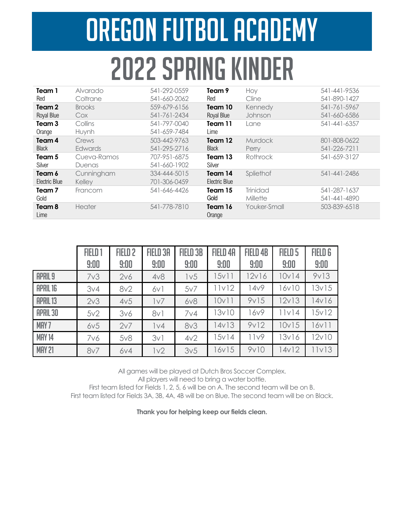## Oregon Futbol Academy 2022 SPRING KINDER

| Team 1            | Alvarado      | 541-292-0559 | Team 9        | Hoy             | 541-441-9536 |
|-------------------|---------------|--------------|---------------|-----------------|--------------|
| Red               | Coltrane      | 541-660-2062 | Red           | Cline           | 541-890-1427 |
| Team 2            | <b>Brooks</b> | 559-679-6156 | Team 10       | Kennedy         | 541-761-5967 |
| Royal Blue        | Cox           | 541-761-2434 | Royal Blue    | Johnson         | 541-660-6586 |
| Team <sub>3</sub> | Collins       | 541-797-0040 | Team 11       | Lane            | 541-441-6357 |
| Orange            | Huynh         | 541-659-7484 | Lime          |                 |              |
| Team 4            | Crews         | 503-442-9763 | Team 12       | <b>Murdock</b>  | 801-808-0622 |
| <b>Black</b>      | Edwards       | 541-295-2716 | <b>Black</b>  | Perry           | 541-226-7211 |
| Team 5            | Cueva-Ramos   | 707-951-6875 | Team 13       | Rothrock        | 541-659-3127 |
| Silver            | Duenas        | 541-660-1902 | Silver        |                 |              |
| Team 6            | Cunningham    | 334-444-5015 | Team 14       | Spliethof       | 541-441-2486 |
| Electric Blue     | Kelley        | 701-306-0459 | Electric Blue |                 |              |
| Team 7            | Francom       | 541-646-4426 | Team 15       | <b>Trinidad</b> | 541-287-1637 |
| Gold              |               |              | Gold          | Millette        | 541-441-4890 |
| Team 8            | <b>Heater</b> | 541-778-7810 | Team 16       | Youker-Small    | 503-839-6518 |
| Lime              |               |              | Orange        |                 |              |
|                   |               |              |               |                 |              |

|                  | FIELD <sub>1</sub><br>9:00 | FIELD <sub>2</sub><br>9:00 | <b>FIELD 3A</b><br>9:00 | <b>FIELD 3B</b><br>9:00 | FIELD 4A<br>9:00 | <b>FIELD 4B</b><br>9:00 | FIELD <sub>5</sub><br>9:00 | <b>FIELD 6</b><br>9:00 |
|------------------|----------------------------|----------------------------|-------------------------|-------------------------|------------------|-------------------------|----------------------------|------------------------|
| <b>APRIL 9</b>   | 7 <sub>v</sub> 3           | 2v6                        | 4v8                     | 1 <sub>v</sub> 5        | 15v11            | 12v16                   | 10v14                      | 9v13                   |
| <b>APRIL 16</b>  | 3v4                        | 8v2                        | 6v1                     | 5v7                     | 11v12            | 14 <sub>v</sub> 9       | 16v10                      | 13v15                  |
| <b>APRIL 13</b>  | 2 <sub>v</sub> 3           | 4v5                        | 1v7                     | 6v8                     | 10v11            | 9v15                    | 12v13                      | 14v16                  |
| <b>APRIL 30</b>  | 5v2                        | 3v6                        | 8v1                     | 7 <sub>V</sub> 4        | 13v10            | 16v9                    | 11v14                      | 15v12                  |
| MAY <sub>7</sub> | 6v5                        | 2v7                        | 1 <sub>v</sub> 4        | 8 <sub>V</sub> 3        | 14v13            | 9v12                    | 10v15                      | 16v11                  |
| <b>MAY 14</b>    | 7v6                        | 5v8                        | 3v1                     | 4v2                     | 15v14            | 11v9                    | 13v16                      | 12v10                  |
| <b>MAY 21</b>    | 8v7                        | 6V4                        | 1 <sub>v</sub> 2        | 3v5                     | 16v15            | 9v10                    | 14v12                      | 11v13                  |

All games will be played at Dutch Bros Soccer Complex.

All players will need to bring a water bottle.

First team listed for Fields 1, 2, 5, 6 will be on A. The second team will be on B. First team listed for Fields 3A, 3B, 4A, 4B will be on Blue. The second team will be on Black.

**Thank you for helping keep our fields clean.**